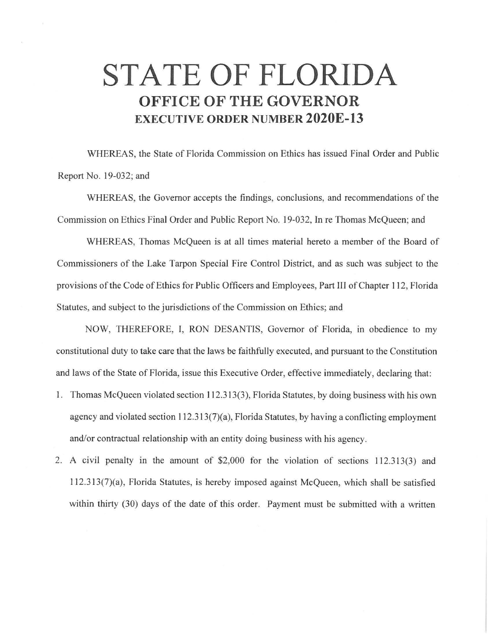## **STATE OF FLORIDA OFFICE OF THE GOVERNOR EXECUTIVE ORDER NUMBER 2020E-13**

WHEREAS, the State of Florida Commission on Ethics has issued Final Order and Public Report No. 19-032; and

WHEREAS, the Governor accepts the findings, conclusions, and recommendations of the Commission on Ethics Final Order and Public Report No. 19-032, In re Thomas McQueen; and

WHEREAS, Thomas McQueen is at all times material hereto a member of the Board of Commissioners of the Lake Tarpon Special Fire Control District, and as such was subject to the provisions of the Code of Ethics for Public Officers and Employees, Part III of Chapter 112, Florida Statutes, and subject to the jurisdictions of the Commission on Ethics; and

NOW, THEREFORE, I, RON DESANTIS, Governor of Florida, in obedience to my constitutional duty to take care that the laws be faithfully executed, and pursuant to the Constitution and laws of the State of Florida, issue this Executive Order, effective immediately, declaring that:

- 1. Thomas McQueen violated section 112.313(3), Florida Statutes, by doing business with his own agency and violated section  $112.313(7)(a)$ , Florida Statutes, by having a conflicting employment and/or contractual relationship with an entity doing business with his agency.
- 2. A civil penalty in the amount of \$2,000 for the violation of sections 112.313(3) and  $112.313(7)(a)$ , Florida Statutes, is hereby imposed against McQueen, which shall be satisfied within thirty (30) days of the date of this order. Payment must be submitted with a written